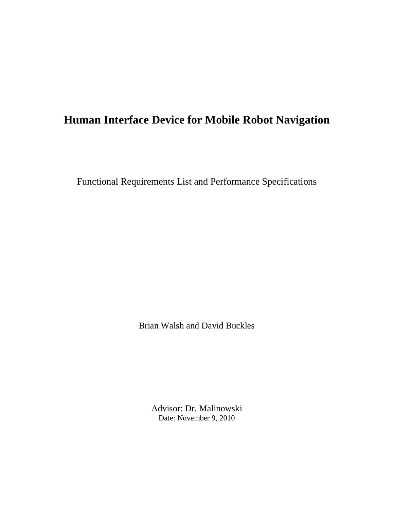# **Human Interface Device for Mobile Robot Navigation**

Functional Requirements List and Performance Specifications

Brian Walsh and David Buckles

Advisor: Dr. Malinowski Date: November 9, 2010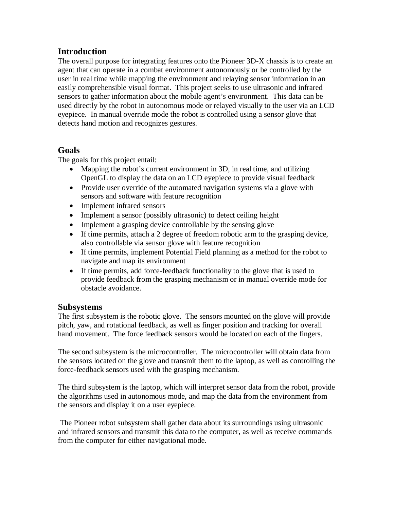## **Introduction**

The overall purpose for integrating features onto the Pioneer 3D-X chassis is to create an agent that can operate in a combat environment autonomously or be controlled by the user in real time while mapping the environment and relaying sensor information in an easily comprehensible visual format. This project seeks to use ultrasonic and infrared sensors to gather information about the mobile agent's environment. This data can be used directly by the robot in autonomous mode or relayed visually to the user via an LCD eyepiece. In manual override mode the robot is controlled using a sensor glove that detects hand motion and recognizes gestures.

### **Goals**

The goals for this project entail:

- Mapping the robot's current environment in 3D, in real time, and utilizing OpenGL to display the data on an LCD eyepiece to provide visual feedback
- Provide user override of the automated navigation systems via a glove with sensors and software with feature recognition
- Implement infrared sensors
- Implement a sensor (possibly ultrasonic) to detect ceiling height
- Implement a grasping device controllable by the sensing glove
- If time permits, attach a 2 degree of freedom robotic arm to the grasping device, also controllable via sensor glove with feature recognition
- If time permits, implement Potential Field planning as a method for the robot to navigate and map its environment
- If time permits, add force-feedback functionality to the glove that is used to provide feedback from the grasping mechanism or in manual override mode for obstacle avoidance.

### **Subsystems**

The first subsystem is the robotic glove. The sensors mounted on the glove will provide pitch, yaw, and rotational feedback, as well as finger position and tracking for overall hand movement. The force feedback sensors would be located on each of the fingers.

The second subsystem is the microcontroller. The microcontroller will obtain data from the sensors located on the glove and transmit them to the laptop, as well as controlling the force-feedback sensors used with the grasping mechanism.

The third subsystem is the laptop, which will interpret sensor data from the robot, provide the algorithms used in autonomous mode, and map the data from the environment from the sensors and display it on a user eyepiece.

 The Pioneer robot subsystem shall gather data about its surroundings using ultrasonic and infrared sensors and transmit this data to the computer, as well as receive commands from the computer for either navigational mode.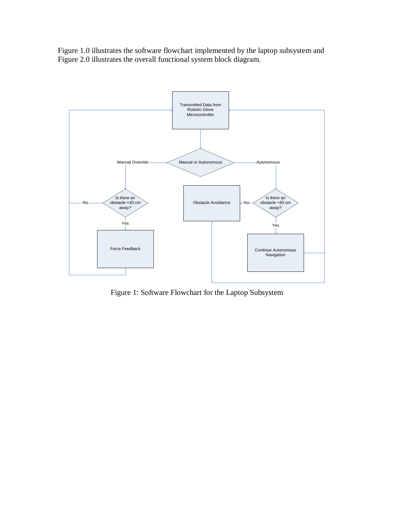Figure 1.0 illustrates the software flowchart implemented by the laptop subsystem and Figure 2.0 illustrates the overall functional system block diagram.



Figure 1: Software Flowchart for the Laptop Subsystem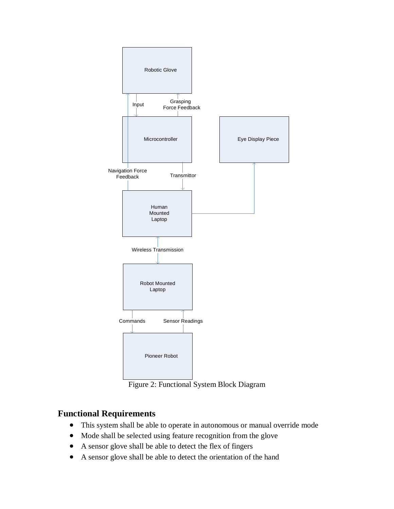

Figure 2: Functional System Block Diagram

## **Functional Requirements**

- This system shall be able to operate in autonomous or manual override mode
- Mode shall be selected using feature recognition from the glove
- A sensor glove shall be able to detect the flex of fingers
- A sensor glove shall be able to detect the orientation of the hand